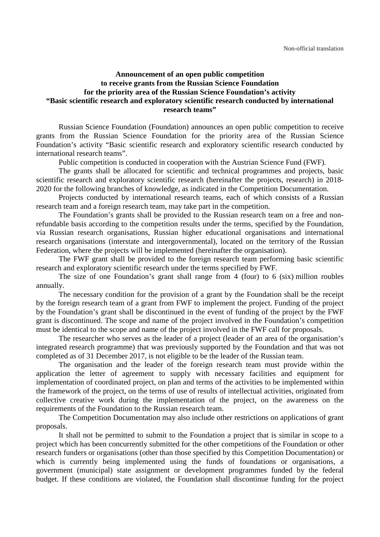## **Announcement of an open public competition to receive grants from the Russian Science Foundation for the priority area of the Russian Science Foundation's activity "Basic scientific research and exploratory scientific research conducted by international research teams"**

Russian Science Foundation (Foundation) announces an open public competition to receive grants from the Russian Science Foundation for the priority area of the Russian Science Foundation's activity "Basic scientific research and exploratory scientific research conducted by international research teams".

Public competition is conducted in cooperation with the Austrian Science Fund (FWF).

The grants shall be allocated for scientific and technical programmes and projects, basic scientific research and exploratory scientific research (hereinafter the projects, research) in 2018- 2020 for the following branches of knowledge, as indicated in the Competition Documentation.

Projects conducted by international research teams, each of which consists of a Russian research team and a foreign research team, may take part in the competition.

The Foundation's grants shall be provided to the Russian research team on a free and nonrefundable basis according to the competition results under the terms, specified by the Foundation, via Russian research organisations, Russian higher educational organisations and international research organisations (interstate and intergovernmental), located on the territory of the Russian Federation, where the projects will be implemented (hereinafter the organisation).

The FWF grant shall be provided to the foreign research team performing basic scientific research and exploratory scientific research under the terms specified by FWF.

The size of one Foundation's grant shall range from 4 (four) to 6 (six) million roubles annually.

The necessary condition for the provision of a grant by the Foundation shall be the receipt by the foreign research team of a grant from FWF to implement the project. Funding of the project by the Foundation's grant shall be discontinued in the event of funding of the project by the FWF grant is discontinued. The scope and name of the project involved in the Foundation's competition must be identical to the scope and name of the project involved in the FWF call for proposals.

The researcher who serves as the leader of a project (leader of an area of the organisation's integrated research programme) that was previously supported by the Foundation and that was not completed as of 31 December 2017, is not eligible to be the leader of the Russian team.

The organisation and the leader of the foreign research team must provide within the application the letter of agreement to supply with necessary facilities and equipment for implementation of coordinated project, on plan and terms of the activities to be implemented within the framework of the project, on the terms of use of results of intellectual activities, originated from collective creative work during the implementation of the project, on the awareness on the requirements of the Foundation to the Russian research team.

The Competition Documentation may also include other restrictions on applications of grant proposals.

It shall not be permitted to submit to the Foundation a project that is similar in scope to a project which has been concurrently submitted for the other competitions of the Foundation or other research funders or organisations (other than those specified by this Competition Documentation) or which is currently being implemented using the funds of foundations or organisations, a government (municipal) state assignment or development programmes funded by the federal budget. If these conditions are violated, the Foundation shall discontinue funding for the project